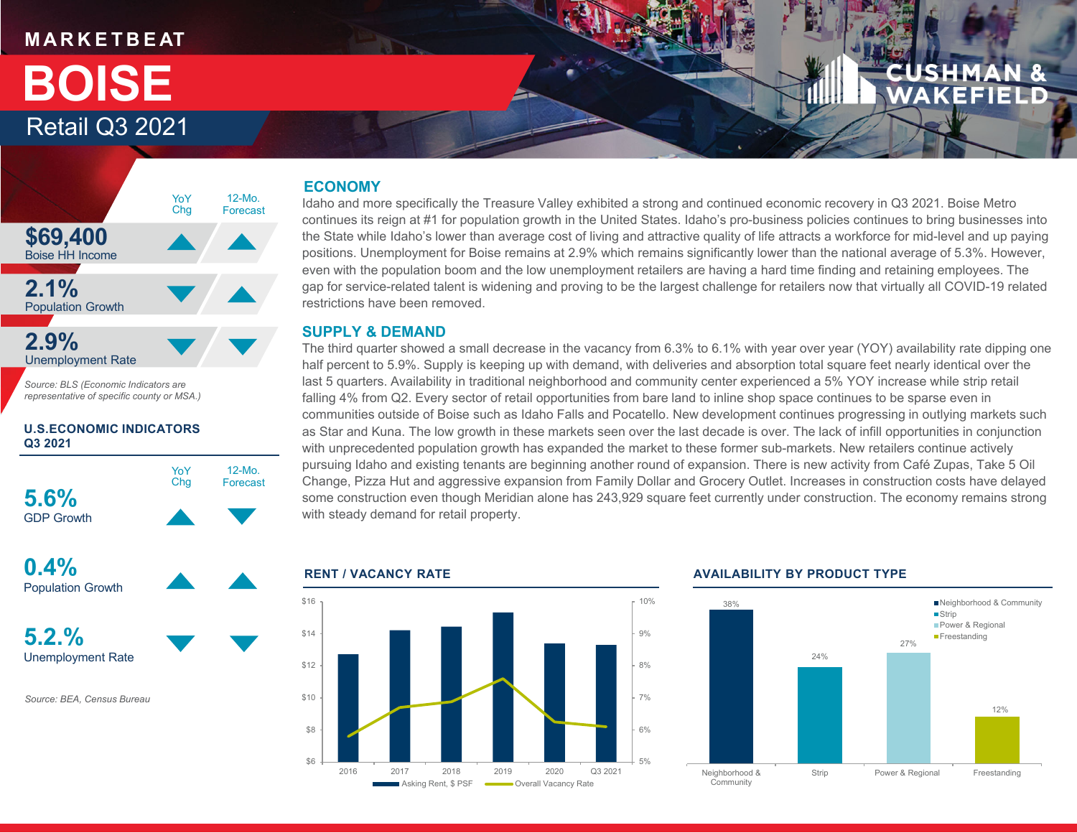### **M A R K E T B E AT**

## Retail Q3 2021 **BOISE**



*Source: BLS (Economic Indicators are representative of specific county or MSA.)*

#### **U.S.ECONOMIC INDICATORS Q3 2021**





#### **ECONOMY**

Idaho and more specifically the Treasure Valley exhibited a strong and continued economic recovery in Q3 2021. Boise Metro continues its reign at #1 for population growth in the United States. Idaho's pro-business policies continues to bring businesses into the State while Idaho's lower than average cost of living and attractive quality of life attracts a workforce for mid-level and up paying positions. Unemployment for Boise remains at 2.9% which remains significantly lower than the national average of 5.3%. However, even with the population boom and the low unemployment retailers are having a hard time finding and retaining employees. The gap for service-related talent is widening and proving to be the largest challenge for retailers now that virtually all COVID-19 related restrictions have been removed.

#### **SUPPLY & DEMAND**

The third quarter showed a small decrease in the vacancy from 6.3% to 6.1% with year over year (YOY) availability rate dipping one half percent to 5.9%. Supply is keeping up with demand, with deliveries and absorption total square feet nearly identical over the last 5 quarters. Availability in traditional neighborhood and community center experienced a 5% YOY increase while strip retail falling 4% from Q2. Every sector of retail opportunities from bare land to inline shop space continues to be sparse even in communities outside of Boise such as Idaho Falls and Pocatello. New development continues progressing in outlying markets such as Star and Kuna. The low growth in these markets seen over the last decade is over. The lack of infill opportunities in conjunction with unprecedented population growth has expanded the market to these former sub-markets. New retailers continue actively pursuing Idaho and existing tenants are beginning another round of expansion. There is new activity from Café Zupas, Take 5 Oil Change, Pizza Hut and aggressive expansion from Family Dollar and Grocery Outlet. Increases in construction costs have delayed some construction even though Meridian alone has 243,929 square feet currently under construction. The economy remains strong with steady demand for retail property.



#### **RENT / VACANCY RATE AVAILABILITY BY PRODUCT TYPE**

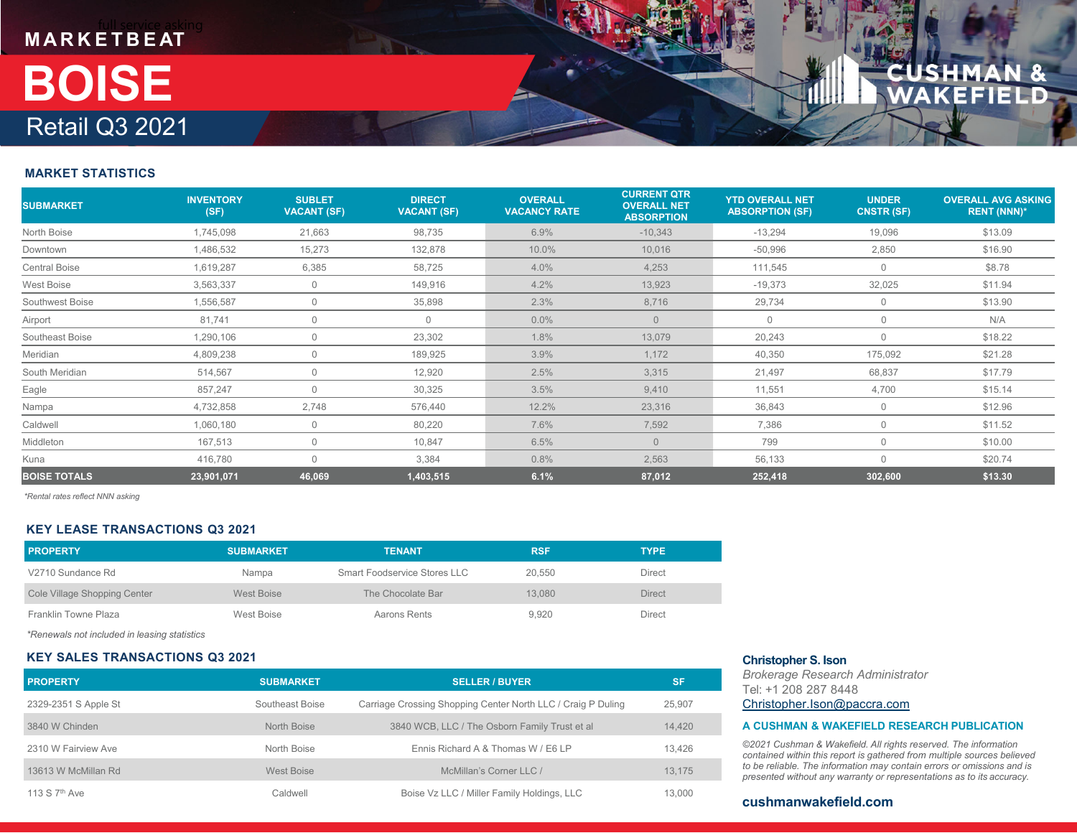# **M A R K E T B E AT** Retail Q3 2021 **BOISE**

#### **MARKET STATISTICS**

| <b>SUBMARKET</b>     | <b>INVENTORY</b><br>(SF) | <b>SUBLET</b><br><b>VACANT (SF)</b> | <b>DIRECT</b><br><b>VACANT (SF)</b> | <b>OVERALL</b><br><b>VACANCY RATE</b> | <b>CURRENT QTR</b><br><b>OVERALL NET</b><br><b>ABSORPTION</b> | <b>YTD OVERALL NET</b><br><b>ABSORPTION (SF)</b> | <b>UNDER</b><br><b>CNSTR (SF)</b> | <b>OVERALL AVG ASKING</b><br><b>RENT (NNN)*</b> |
|----------------------|--------------------------|-------------------------------------|-------------------------------------|---------------------------------------|---------------------------------------------------------------|--------------------------------------------------|-----------------------------------|-------------------------------------------------|
| North Boise          | 1,745,098                | 21,663                              | 98,735                              | 6.9%                                  | $-10,343$                                                     | $-13,294$                                        | 19,096                            | \$13.09                                         |
| Downtown             | 1,486,532                | 15,273                              | 132,878                             | 10.0%                                 | 10,016                                                        | $-50,996$                                        | 2,850                             | \$16.90                                         |
| <b>Central Boise</b> | 1,619,287                | 6,385                               | 58,725                              | 4.0%                                  | 4,253                                                         | 111,545                                          | $\overline{0}$                    | \$8.78                                          |
| West Boise           | 3,563,337                | $\mathbf 0$                         | 149,916                             | 4.2%                                  | 13,923                                                        | $-19,373$                                        | 32,025                            | \$11.94                                         |
| Southwest Boise      | 1,556,587                | $\Omega$                            | 35,898                              | 2.3%                                  | 8,716                                                         | 29,734                                           | $\mathbf{0}$                      | \$13.90                                         |
| Airport              | 81,741                   | 0                                   | $\mathbf 0$                         | 0.0%                                  | $\overline{0}$                                                | $\Omega$                                         | $\mathbf 0$                       | N/A                                             |
| Southeast Boise      | 1,290,106                | $\mathbf 0$                         | 23,302                              | 1.8%                                  | 13,079                                                        | 20,243                                           | $\mathbf 0$                       | \$18.22                                         |
| Meridian             | 4,809,238                | $\Omega$                            | 189,925                             | 3.9%                                  | 1,172                                                         | 40,350                                           | 175,092                           | \$21.28                                         |
| South Meridian       | 514,567                  | $\mathbf 0$                         | 12,920                              | 2.5%                                  | 3,315                                                         | 21,497                                           | 68,837                            | \$17.79                                         |
| Eagle                | 857,247                  | $\Omega$                            | 30,325                              | 3.5%                                  | 9,410                                                         | 11,551                                           | 4,700                             | \$15.14                                         |
| Nampa                | 4,732,858                | 2,748                               | 576,440                             | 12.2%                                 | 23,316                                                        | 36,843                                           | 0                                 | \$12.96                                         |
| Caldwell             | 1,060,180                | 0                                   | 80,220                              | 7.6%                                  | 7,592                                                         | 7,386                                            | $\mathbf 0$                       | \$11.52                                         |
| Middleton            | 167,513                  | $\Omega$                            | 10,847                              | 6.5%                                  | $\Omega$                                                      | 799                                              | $\mathbf{0}$                      | \$10.00                                         |
| Kuna                 | 416,780                  | $\Omega$                            | 3,384                               | 0.8%                                  | 2,563                                                         | 56,133                                           | $\Omega$                          | \$20.74                                         |
| <b>BOISE TOTALS</b>  | 23,901,071               | 46,069                              | 1,403,515                           | 6.1%                                  | 87,012                                                        | 252,418                                          | 302,600                           | \$13.30                                         |

*\*Rental rates reflect NNN asking*

#### **KEY LEASE TRANSACTIONS Q3 2021**

| <b>PROPERTY</b>              | <b>SUBMARKET</b>  | <b>TENANT</b>                | <b>RSF</b> | <b>TYPE</b>   |
|------------------------------|-------------------|------------------------------|------------|---------------|
| V2710 Sundance Rd            | Nampa             | Smart Foodservice Stores LLC | 20.550     | Direct        |
| Cole Village Shopping Center | <b>West Boise</b> | The Chocolate Bar            | 13.080     | <b>Direct</b> |
| Franklin Towne Plaza         | West Boise        | Aarons Rents                 | 9.920      | <b>Direct</b> |

*\*Renewals not included in leasing statistics*

#### **KEY SALES TRANSACTIONS Q3 2021**

| <b>PROPERTY</b>           | <b>SUBMARKET</b>  | <b>SELLER / BUYER</b>                                        | <b>SF</b> |
|---------------------------|-------------------|--------------------------------------------------------------|-----------|
| 2329-2351 S Apple St      | Southeast Boise   | Carriage Crossing Shopping Center North LLC / Craig P Duling | 25.907    |
| 3840 W Chinden            | North Boise       | 3840 WCB, LLC / The Osborn Family Trust et al                | 14,420    |
| 2310 W Fairview Ave       | North Boise       | Ennis Richard A & Thomas W / E6 LP                           | 13.426    |
| 13613 W McMillan Rd       | <b>West Boise</b> | McMillan's Corner LLC /                                      | 13,175    |
| 113 S 7 <sup>th</sup> Ave | Caldwell          | Boise Vz LLC / Miller Family Holdings, LLC                   | 13.000    |

#### **Christopher S. Ison**

*Brokerage Research Administrator* Tel: +1 208 287 8448Christopher.Ison@paccra.com

#### **A CUSHMAN & WAKEFIELD RESEARCH PUBLICATION**

*©2021 Cushman & Wakefield. All rights reserved. The information contained within this report is gathered from multiple sources believed to be reliable. The information may contain errors or omissions and is presented without any warranty or representations as to its accuracy.*

#### **cushmanwakefield.com**